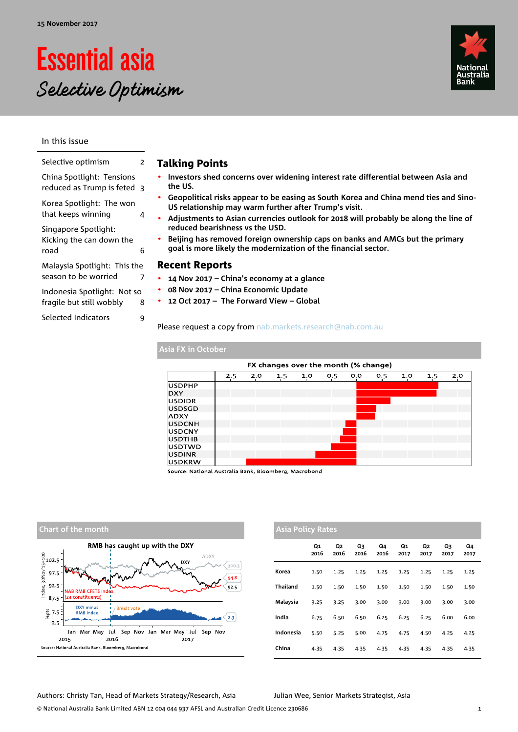# Essential asia Selective Optimism

In this issue

| Selective optimism                                       | 2 |
|----------------------------------------------------------|---|
| China Spotlight: Tensions<br>reduced as Trump is feted 3 |   |
| Korea Spotlight: The won<br>that keeps winning           | 4 |
| Singapore Spotlight:<br>Kicking the can down the<br>road | 6 |
| Malaysia Spotlight: This the<br>season to be worried     | 7 |
| Indonesia Spotlight: Not so<br>fragile but still wobbly  | 8 |
| Selected Indicators                                      | 9 |
|                                                          |   |

### Talking Points

- **Investors shed concerns over widening interest rate differential between Asia and the US.**
- **Geopolitical risks appear to be easing as South Korea and China mend ties and Sino-US relationship may warm further after Trump's visit.**
- **Adjustments to Asian currencies outlook for 2018 will probably be along the line of reduced bearishness vs the USD.**
- **Beijing has removed foreign ownership caps on banks and AMCs but the primary goal is more likely the modernization of the financial sector.**

### Recent Reports

**USDKRW** 

- **14 Nov 2017 China's economy at a glance**
- **08 Nov 2017 China Economic Update**
- **12 Oct 2017 The Forward View Global**

Please request a copy from nab.markets.research@nab.com.au

#### **Asia FX in October**  FX changes over the month (% change)  $1.0$  $\overline{1.5}$  $-2.5$  $-2.0$  $-1.5$  $-1.0$  $-0.5$  $0.0$  $0.5$ **USDPHP DXY USDIDR** luspsgp ADXY USDCNH USDCNY **USDTHB** USDTWD **USDINR**

Source: National Australia Bank, Bloomberg, Macrobond



| <b>Asia Policy Rates</b> |            |            |            |            |            |            |            |            |  |  |  |
|--------------------------|------------|------------|------------|------------|------------|------------|------------|------------|--|--|--|
|                          | Q1<br>2016 | Q2<br>2016 | Q3<br>2016 | Q4<br>2016 | Q1<br>2017 | Q2<br>2017 | Q3<br>2017 | Q4<br>2017 |  |  |  |
| Korea                    | 1.50       | 1.25       | 1.25       | 1.25       | 1.25       | 1.25       | 1.25       | 1.25       |  |  |  |
| Thailand                 | 1.50       | 1.50       | 1.50       | 1.50       | 1.50       | 1.50       | 1.50       | 1.50       |  |  |  |
| Malaysia                 | 3.25       | 3.25       | 3.00       | 3.00       | 3.00       | 3.00       | 3.00       | 3.00       |  |  |  |
| India                    | 6.75       | 6.50       | 6.50       | 6.25       | 6.25       | 6.25       | 6.00       | 6.00       |  |  |  |
| Indonesia                | 5.50       | 5.25       | 5.00       | 4.75       | 4.75       | 4.50       | 4.25       | 4.25       |  |  |  |
| China                    | 4.35       | 4.35       | 4.35       | 4.35       | 4.35       | 4.35       | 4.35       | 4.35       |  |  |  |

### Authors: Christy Tan, Head of Markets Strategy/Research, Asia Julian Wee, Senior Markets Strategist, Asia



 $\overline{2.0}$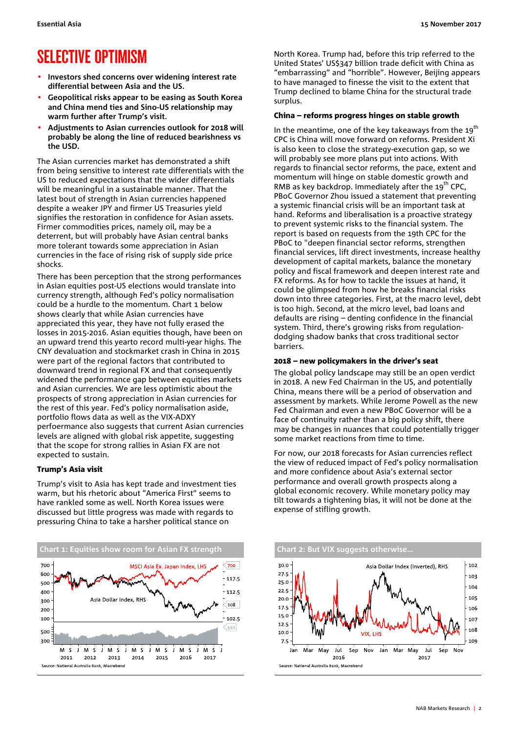### SELECTIVE OPTIMISM

- **Investors shed concerns over widening interest rate differential between Asia and the US.**
- **Geopolitical risks appear to be easing as South Korea and China mend ties and Sino-US relationship may warm further after Trump's visit.**
- **Adjustments to Asian currencies outlook for 2018 will probably be along the line of reduced bearishness vs the USD.**

The Asian currencies market has demonstrated a shift from being sensitive to interest rate differentials with the US to reduced expectations that the wider differentials will be meaningful in a sustainable manner. That the latest bout of strength in Asian currencies happened despite a weaker JPY and firmer US Treasuries yield signifies the restoration in confidence for Asian assets. Firmer commodities prices, namely oil, may be a deterrent, but will probably have Asian central banks more tolerant towards some appreciation in Asian currencies in the face of rising risk of supply side price shocks.

There has been perception that the strong performances in Asian equities post-US elections would translate into currency strength, although Fed's policy normalisation could be a hurdle to the momentum. Chart 1 below shows clearly that while Asian currencies have appreciated this year, they have not fully erased the losses in 2015-2016. Asian equities though, have been on an upward trend this yearto record multi-year highs. The CNY devaluation and stockmarket crash in China in 2015 were part of the regional factors that contributed to downward trend in regional FX and that consequently widened the performance gap between equities markets and Asian currencies. We are less optimistic about the prospects of strong appreciation in Asian currencies for the rest of this year. Fed's policy normalisation aside, portfolio flows data as well as the VIX-ADXY perfoermance also suggests that current Asian currencies levels are aligned with global risk appetite, suggesting that the scope for strong rallies in Asian FX are not expected to sustain.

#### Trump's Asia visit

Trump's visit to Asia has kept trade and investment ties warm, but his rhetoric about "America First" seems to have rankled some as well. North Korea issues were discussed but little progress was made with regards to pressuring China to take a harsher political stance on



North Korea. Trump had, before this trip referred to the United States' US\$347 billion trade deficit with China as "embarrassing" and "horrible". However, Beijing appears to have managed to finesse the visit to the extent that Trump declined to blame China for the structural trade surplus.

#### China – reforms progress hinges on stable growth

In the meantime, one of the key takeaways from the  $19<sup>th</sup>$ CPC is China will move forward on reforms. President Xi is also keen to close the strategy-execution gap, so we will probably see more plans put into actions. With regards to financial sector reforms, the pace, extent and momentum will hinge on stable domestic growth and RMB as key backdrop. Immediately after the  $19<sup>th</sup>$  CPC, PBoC Governor Zhou issued a statement that preventing a systemic financial crisis will be an important task at hand. Reforms and liberalisation is a proactive strategy to prevent systemic risks to the financial system. The report is based on requests from the 19th CPC for the PBoC to "deepen financial sector reforms, strengthen financial services, lift direct investments, increase healthy development of capital markets, balance the monetary policy and fiscal framework and deepen interest rate and FX reforms. As for how to tackle the issues at hand, it could be glimpsed from how he breaks financial risks down into three categories. First, at the macro level, debt is too high. Second, at the micro level, bad loans and defaults are rising – denting confidence in the financial system. Third, there's growing risks from regulationdodging shadow banks that cross traditional sector barriers.

#### 2018 – new policymakers in the driver's seat

The global policy landscape may still be an open verdict in 2018. A new Fed Chairman in the US, and potentially China, means there will be a period of observation and assessment by markets. While Jerome Powell as the new Fed Chairman and even a new PBoC Governor will be a face of continuity rather than a big policy shift, there may be changes in nuances that could potentially trigger some market reactions from time to time.

For now, our 2018 forecasts for Asian currencies reflect the view of reduced impact of Fed's policy normalisation and more confidence about Asia's external sector performance and overall growth prospects along a global economic recovery. While monetary policy may tilt towards a tightening bias, it will not be done at the expense of stifling growth.

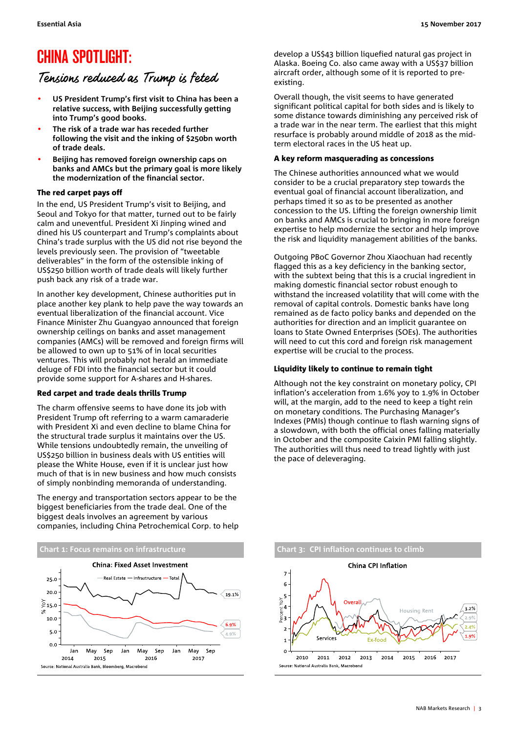### CHINA SPOTLIGHT:

### Tensions reduced as Trump is feted

- **US President Trump's first visit to China has been a relative success, with Beijing successfully getting into Trump's good books.**
- **The risk of a trade war has receded further following the visit and the inking of \$250bn worth of trade deals.**
- **Beijing has removed foreign ownership caps on banks and AMCs but the primary goal is more likely the modernization of the financial sector.**

### The red carpet pays off

In the end, US President Trump's visit to Beijing, and Seoul and Tokyo for that matter, turned out to be fairly calm and uneventful. President Xi Jinping wined and dined his US counterpart and Trump's complaints about China's trade surplus with the US did not rise beyond the levels previously seen. The provision of "tweetable deliverables" in the form of the ostensible inking of US\$250 billion worth of trade deals will likely further push back any risk of a trade war.

In another key development, Chinese authorities put in place another key plank to help pave the way towards an eventual liberalization of the financial account. Vice Finance Minister Zhu Guangyao announced that foreign ownership ceilings on banks and asset management companies (AMCs) will be removed and foreign firms will be allowed to own up to 51% of in local securities ventures. This will probably not herald an immediate deluge of FDI into the financial sector but it could provide some support for A-shares and H-shares.

### Red carpet and trade deals thrills Trump

The charm offensive seems to have done its job with President Trump oft referring to a warm camaraderie with President Xi and even decline to blame China for the structural trade surplus it maintains over the US. While tensions undoubtedly remain, the unveiling of US\$250 billion in business deals with US entities will please the White House, even if it is unclear just how much of that is in new business and how much consists of simply nonbinding memoranda of understanding.

The energy and transportation sectors appear to be the biggest beneficiaries from the trade deal. One of the biggest deals involves an agreement by various companies, including China Petrochemical Corp. to help



develop a US\$43 billion liquefied natural gas project in Alaska. Boeing Co. also came away with a US\$37 billion aircraft order, although some of it is reported to preexisting.

Overall though, the visit seems to have generated significant political capital for both sides and is likely to some distance towards diminishing any perceived risk of a trade war in the near term. The earliest that this might resurface is probably around middle of 2018 as the midterm electoral races in the US heat up.

### A key reform masquerading as concessions

The Chinese authorities announced what we would consider to be a crucial preparatory step towards the eventual goal of financial account liberalization, and perhaps timed it so as to be presented as another concession to the US. Lifting the foreign ownership limit on banks and AMCs is crucial to bringing in more foreign expertise to help modernize the sector and help improve the risk and liquidity management abilities of the banks.

Outgoing PBoC Governor Zhou Xiaochuan had recently flagged this as a key deficiency in the banking sector, with the subtext being that this is a crucial ingredient in making domestic financial sector robust enough to withstand the increased volatility that will come with the removal of capital controls. Domestic banks have long remained as de facto policy banks and depended on the authorities for direction and an implicit guarantee on loans to State Owned Enterprises (SOEs). The authorities will need to cut this cord and foreign risk management expertise will be crucial to the process.

### Liquidity likely to continue to remain tight

Although not the key constraint on monetary policy, CPI inflation's acceleration from 1.6% yoy to 1.9% in October will, at the margin, add to the need to keep a tight rein on monetary conditions. The Purchasing Manager's Indexes (PMIs) though continue to flash warning signs of a slowdown, with both the official ones falling materially in October and the composite Caixin PMI falling slightly. The authorities will thus need to tread lightly with just the pace of deleveraging.

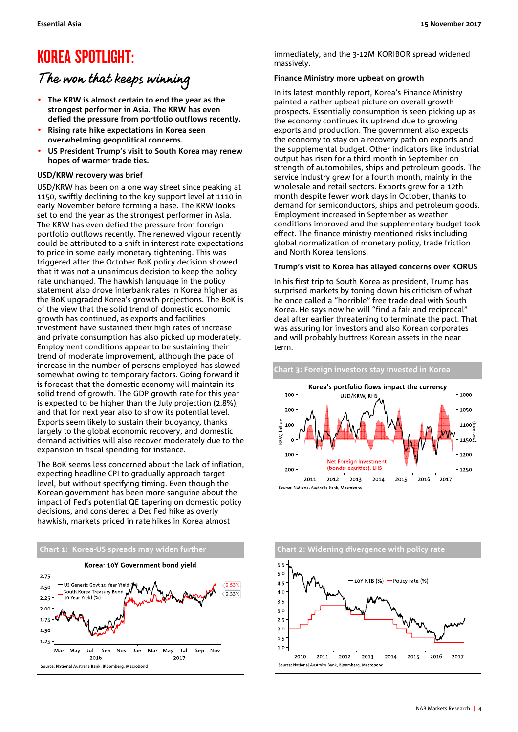### KOREA SPOTLIGHT:

### The won that keeps winning

- **The KRW is almost certain to end the year as the strongest performer in Asia. The KRW has even defied the pressure from portfolio outflows recently.**
- **Rising rate hike expectations in Korea seen overwhelming geopolitical concerns.**
- **US President Trump's visit to South Korea may renew hopes of warmer trade ties.**

### **USD/KRW recovery was brief**

USD/KRW has been on a one way street since peaking at 1150, swiftly declining to the key support level at 1110 in early November before forming a base. The KRW looks set to end the year as the strongest performer in Asia. The KRW has even defied the pressure from foreign portfolio outflows recently. The renewed vigour recently could be attributed to a shift in interest rate expectations to price in some early monetary tightening. This was triggered after the October BoK policy decision showed that it was not a unanimous decision to keep the policy rate unchanged. The hawkish language in the policy statement also drove interbank rates in Korea higher as the BoK upgraded Korea's growth projections. The BoK is of the view that the solid trend of domestic economic growth has continued, as exports and facilities investment have sustained their high rates of increase and private consumption has also picked up moderately. Employment conditions appear to be sustaining their trend of moderate improvement, although the pace of increase in the number of persons employed has slowed somewhat owing to temporary factors. Going forward it is forecast that the domestic economy will maintain its solid trend of growth. The GDP growth rate for this year is expected to be higher than the July projection (2.8%), and that for next year also to show its potential level. Exports seem likely to sustain their buoyancy, thanks largely to the global economic recovery, and domestic demand activities will also recover moderately due to the expansion in fiscal spending for instance.

The BoK seems less concerned about the lack of inflation, expecting headline CPI to gradually approach target level, but without specifying timing. Even though the Korean government has been more sanguine about the impact of Fed's potential QE tapering on domestic policy decisions, and considered a Dec Fed hike as overly hawkish, markets priced in rate hikes in Korea almost



immediately, and the 3-12M KORIBOR spread widened massively.

### **Finance Ministry more upbeat on growth**

In its latest monthly report, Korea's Finance Ministry painted a rather upbeat picture on overall growth prospects. Essentially consumption is seen picking up as the economy continues its uptrend due to growing exports and production. The government also expects the economy to stay on a recovery path on exports and the supplemental budget. Other indicators like industrial output has risen for a third month in September on strength of automobiles, ships and petroleum goods. The service industry grew for a fourth month, mainly in the wholesale and retail sectors. Exports grew for a 12th month despite fewer work days in October, thanks to demand for semiconductors, ships and petroleum goods. Employment increased in September as weather conditions improved and the supplementary budget took effect. The finance ministry mentioned risks including global normalization of monetary policy, trade friction and North Korea tensions.

#### **Trump's visit to Korea has allayed concerns over KORUS**

In his first trip to South Korea as president, Trump has surprised markets by toning down his criticism of what he once called a "horrible" free trade deal with South Korea. He says now he will "find a fair and reciprocal" deal after earlier threatening to terminate the pact. That was assuring for investors and also Korean corporates and will probably buttress Korean assets in the near term.



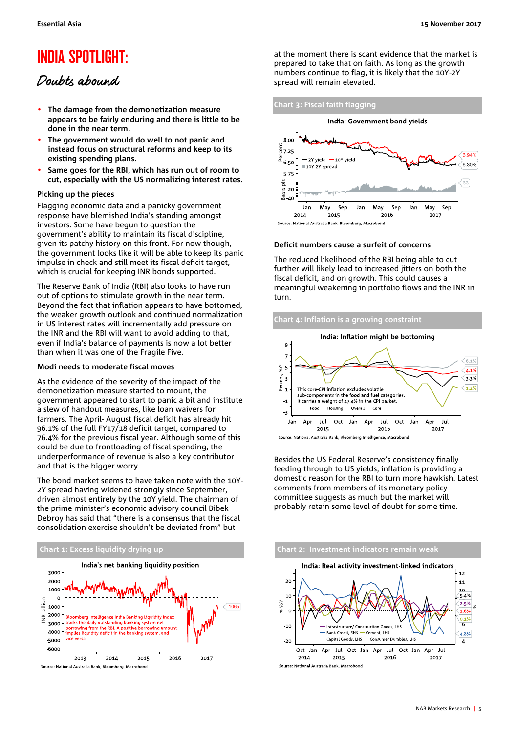### INDIA SPOTLIGHT:

### Doubts abound

- **The damage from the demonetization measure appears to be fairly enduring and there is little to be done in the near term.**
- **The government would do well to not panic and instead focus on structural reforms and keep to its existing spending plans.**
- **Same goes for the RBI, which has run out of room to cut, especially with the US normalizing interest rates.**

### **Picking up the pieces**

Flagging economic data and a panicky government response have blemished India's standing amongst investors. Some have begun to question the government's ability to maintain its fiscal discipline, given its patchy history on this front. For now though, the government looks like it will be able to keep its panic impulse in check and still meet its fiscal deficit target, which is crucial for keeping INR bonds supported.

The Reserve Bank of India (RBI) also looks to have run out of options to stimulate growth in the near term. Beyond the fact that inflation appears to have bottomed, the weaker growth outlook and continued normalization in US interest rates will incrementally add pressure on the INR and the RBI will want to avoid adding to that, even if India's balance of payments is now a lot better than when it was one of the Fragile Five.

#### **Modi needs to moderate fiscal moves**

As the evidence of the severity of the impact of the demonetization measure started to mount, the government appeared to start to panic a bit and institute a slew of handout measures, like loan waivers for farmers. The April- August fiscal deficit has already hit 96.1% of the full FY17/18 deficit target, compared to 76.4% for the previous fiscal year. Although some of this could be due to frontloading of fiscal spending, the underperformance of revenue is also a key contributor and that is the bigger worry.

The bond market seems to have taken note with the 10Y-2Y spread having widened strongly since September, driven almost entirely by the 10Y yield. The chairman of the prime minister's economic advisory council Bibek Debroy has said that "there is a consensus that the fiscal consolidation exercise shouldn't be deviated from" but





at the moment there is scant evidence that the market is prepared to take that on faith. As long as the growth numbers continue to flag, it is likely that the 10Y-2Y spread will remain elevated.



#### **Deficit numbers cause a surfeit of concerns**

The reduced likelihood of the RBI being able to cut further will likely lead to increased jitters on both the fiscal deficit, and on growth. This could causes a meaningful weakening in portfolio flows and the INR in turn.

### **Chart 4: Inflation is a growing constraint**



Besides the US Federal Reserve's consistency finally feeding through to US yields, inflation is providing a domestic reason for the RBI to turn more hawkish. Latest comments from members of its monetary policy committee suggests as much but the market will probably retain some level of doubt for some time.

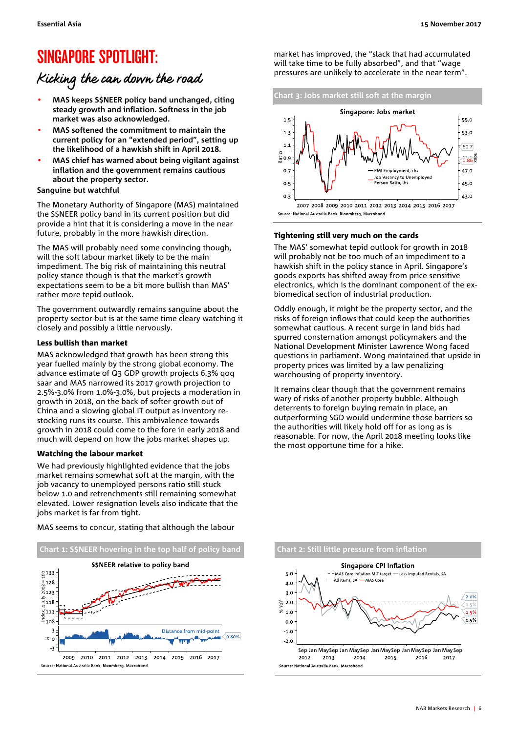### SINGAPORE SPOTLIGHT:

### Kicking the can down the road

- **MAS keeps S\$NEER policy band unchanged, citing steady growth and inflation. Softness in the job market was also acknowledged.**
- **MAS softened the commitment to maintain the current policy for an "extended period", setting up the likelihood of a hawkish shift in April 2018.**
- **MAS chief has warned about being vigilant against inflation and the government remains cautious about the property sector.**

### **Sanguine but watchful**

The Monetary Authority of Singapore (MAS) maintained the S\$NEER policy band in its current position but did provide a hint that it is considering a move in the near future, probably in the more hawkish direction.

The MAS will probably need some convincing though, will the soft labour market likely to be the main impediment. The big risk of maintaining this neutral policy stance though is that the market's growth expectations seem to be a bit more bullish than MAS' rather more tepid outlook.

The government outwardly remains sanguine about the property sector but is at the same time cleary watching it closely and possibly a little nervously.

### Less bullish than market

MAS acknowledged that growth has been strong this year fuelled mainly by the strong global economy. The advance estimate of Q3 GDP growth projects 6.3% qoq saar and MAS narrowed its 2017 growth projection to 2.5%-3.0% from 1.0%-3.0%, but projects a moderation in growth in 2018, on the back of softer growth out of China and a slowing global IT output as inventory restocking runs its course. This ambivalence towards growth in 2018 could come to the fore in early 2018 and much will depend on how the jobs market shapes up.

### Watching the labour market

We had previously highlighted evidence that the jobs market remains somewhat soft at the margin, with the job vacancy to unemployed persons ratio still stuck below 1.0 and retrenchments still remaining somewhat elevated. Lower resignation levels also indicate that the jobs market is far from tight.

MAS seems to concur, stating that although the labour



market has improved, the "slack that had accumulated will take time to be fully absorbed", and that "wage pressures are unlikely to accelerate in the near term".



### Tightening still very much on the cards

The MAS' somewhat tepid outlook for growth in 2018 will probably not be too much of an impediment to a hawkish shift in the policy stance in April. Singapore's goods exports has shifted away from price sensitive electronics, which is the dominant component of the exbiomedical section of industrial production.

Oddly enough, it might be the property sector, and the risks of foreign inflows that could keep the authorities somewhat cautious. A recent surge in land bids had spurred consternation amongst policymakers and the National Development Minister Lawrence Wong faced questions in parliament. Wong maintained that upside in property prices was limited by a law penalizing warehousing of property inventory.

It remains clear though that the government remains wary of risks of another property bubble. Although deterrents to foreign buying remain in place, an outperforming SGD would undermine those barriers so the authorities will likely hold off for as long as is reasonable. For now, the April 2018 meeting looks like the most opportune time for a hike.

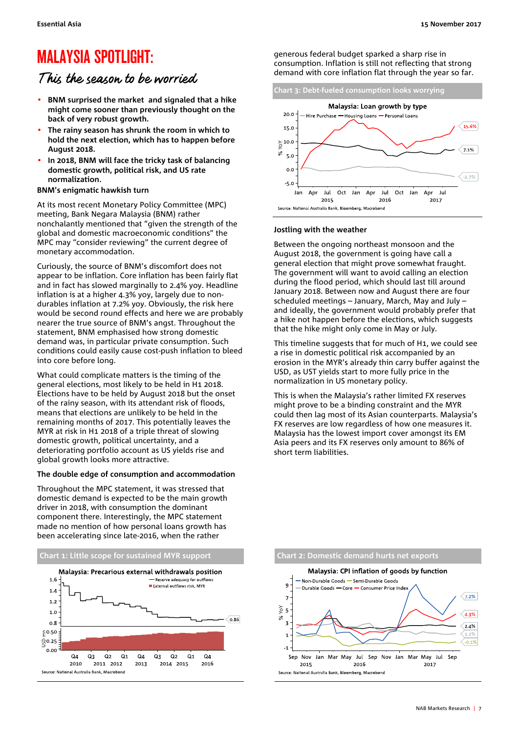### MALAYSIA SPOTLIGHT:

### This the season to be worried

- **BNM surprised the market and signaled that a hike might come sooner than previously thought on the back of very robust growth.**
- **The rainy season has shrunk the room in which to hold the next election, which has to happen before August 2018.**
- **In 2018, BNM will face the tricky task of balancing domestic growth, political risk, and US rate normalization.**

#### **BNM's enigmatic hawkish turn**

At its most recent Monetary Policy Committee (MPC) meeting, Bank Negara Malaysia (BNM) rather nonchalantly mentioned that "given the strength of the global and domestic macroeconomic conditions" the MPC may "consider reviewing" the current degree of monetary accommodation.

Curiously, the source of BNM's discomfort does not appear to be inflation. Core inflation has been fairly flat and in fact has slowed marginally to 2.4% yoy. Headline inflation is at a higher 4.3% yoy, largely due to nondurables inflation at 7.2% yoy. Obviously, the risk here would be second round effects and here we are probably nearer the true source of BNM's angst. Throughout the statement, BNM emphasised how strong domestic demand was, in particular private consumption. Such conditions could easily cause cost-push inflation to bleed into core before long.

What could complicate matters is the timing of the general elections, most likely to be held in H1 2018. Elections have to be held by August 2018 but the onset of the rainy season, with its attendant risk of floods, means that elections are unlikely to be held in the remaining months of 2017. This potentially leaves the MYR at risk in H1 2018 of a triple threat of slowing domestic growth, political uncertainty, and a deteriorating portfolio account as US yields rise and global growth looks more attractive.

#### **The double edge of consumption and accommodation**

Throughout the MPC statement, it was stressed that domestic demand is expected to be the main growth driver in 2018, with consumption the dominant component there. Interestingly, the MPC statement made no mention of how personal loans growth has been accelerating since late-2016, when the rather



generous federal budget sparked a sharp rise in consumption. Inflation is still not reflecting that strong demand with core inflation flat through the year so far.



#### **Jostling with the weather**

Between the ongoing northeast monsoon and the August 2018, the government is going have call a general election that might prove somewhat fraught. The government will want to avoid calling an election during the flood period, which should last till around January 2018. Between now and August there are four scheduled meetings – January, March, May and July – and ideally, the government would probably prefer that a hike not happen before the elections, which suggests that the hike might only come in May or July.

This timeline suggests that for much of H1, we could see a rise in domestic political risk accompanied by an erosion in the MYR's already thin carry buffer against the USD, as UST yields start to more fully price in the normalization in US monetary policy.

This is when the Malaysia's rather limited FX reserves might prove to be a binding constraint and the MYR could then lag most of its Asian counterparts. Malaysia's FX reserves are low regardless of how one measures it. Malaysia has the lowest import cover amongst its EM Asia peers and its FX reserves only amount to 86% of short term liabilities.

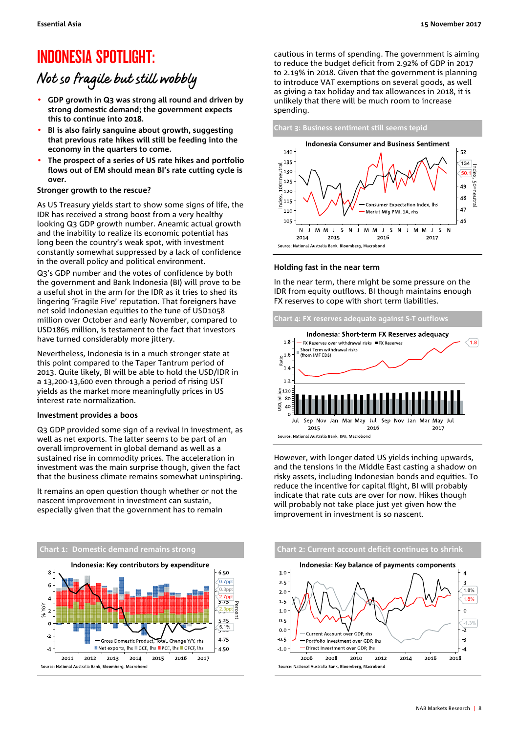### INDONESIA SPOTLIGHT:

### Not so fragile but still wobbly

- **GDP growth in Q3 was strong all round and driven by strong domestic demand; the government expects this to continue into 2018.**
- **BI is also fairly sanguine about growth, suggesting that previous rate hikes will still be feeding into the economy in the quarters to come.**
- **The prospect of a series of US rate hikes and portfolio flows out of EM should mean BI's rate cutting cycle is over.**

### **Stronger growth to the rescue?**

As US Treasury yields start to show some signs of life, the IDR has received a strong boost from a very healthy looking Q3 GDP growth number. Aneamic actual growth and the inability to realize its economic potential has long been the country's weak spot, with investment constantly somewhat suppressed by a lack of confidence in the overall policy and political environment.

Q3's GDP number and the votes of confidence by both the government and Bank Indonesia (BI) will prove to be a useful shot in the arm for the IDR as it tries to shed its lingering 'Fragile Five' reputation. That foreigners have net sold Indonesian equities to the tune of USD1058 million over October and early November, compared to USD1865 million, is testament to the fact that investors have turned considerably more jittery.

Nevertheless, Indonesia is in a much stronger state at this point compared to the Taper Tantrum period of 2013. Quite likely, BI will be able to hold the USD/IDR in a 13,200-13,600 even through a period of rising UST yields as the market more meaningfully prices in US interest rate normalization.

### **Investment provides a boos**

Q3 GDP provided some sign of a revival in investment, as well as net exports. The latter seems to be part of an overall improvement in global demand as well as a sustained rise in commodity prices. The acceleration in investment was the main surprise though, given the fact that the business climate remains somewhat uninspiring.

It remains an open question though whether or not the nascent improvement in investment can sustain, especially given that the government has to remain



cautious in terms of spending. The government is aiming to reduce the budget deficit from 2.92% of GDP in 2017 to 2.19% in 2018. Given that the government is planning to introduce VAT exemptions on several goods, as well as giving a tax holiday and tax allowances in 2018, it is unlikely that there will be much room to increase spending.





### **Holding fast in the near term**

In the near term, there might be some pressure on the IDR from equity outflows. BI though maintains enough FX reserves to cope with short term liabilities.



However, with longer dated US yields inching upwards, and the tensions in the Middle East casting a shadow on risky assets, including Indonesian bonds and equities. To reduce the incentive for capital flight, BI will probably indicate that rate cuts are over for now. Hikes though will probably not take place just yet given how the improvement in investment is so nascent.

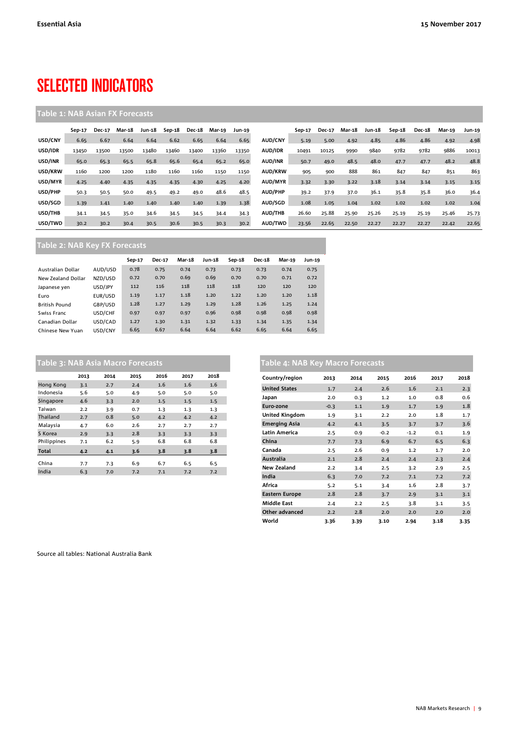## SELECTED INDICATORS

### **Table 1: NAB Asian FX Forecasts**

|         | Sep-17 | <b>Dec-17</b> | Mar-18 | Jun-18 | Sep-18 | <b>Dec-18</b> | Mar-19 | Jun-19 |                | Sep-17 | <b>Dec-17</b> | Mar-18 | <b>Jun-18</b> | Sep-18 | <b>Dec-18</b> | Mar-19 | <b>Jun-19</b> |
|---------|--------|---------------|--------|--------|--------|---------------|--------|--------|----------------|--------|---------------|--------|---------------|--------|---------------|--------|---------------|
| USD/CNY | 6.65   | 6.67          | 6.64   | 6.64   | 6.62   | 6.65          | 6.64   | 6.65   | AUD/CNY        | 5.19   | 5.00          | 4.92   | 4.85          | 4.86   | 4.86          | 4.92   | 4.98          |
| USD/IDR | 13450  | 13500         | 13500  | 13480  | 13460  | 13400         | 13360  | 13350  | <b>AUD/IDR</b> | 10491  | 10125         | 9990   | 9840          | 9782   | 9782          | 9886   | 10013         |
| USD/INR | 65.0   | 65.3          | 65.5   | 65.8   | 65.6   | 65.4          | 65.2   | 65.0   | <b>AUD/INR</b> | 50.7   | 49.0          | 48.5   | 48.0          | 47.7   | 47.7          | 48.2   | 48.8          |
| USD/KRW | 1160   | 1200          | 1200   | 1180   | 1160   | 1160          | 1150   | 1150   | <b>AUD/KRW</b> | 905    | 900           | 888    | 861           | 847    | 847           | 851    | 863           |
| USD/MYR | 4.25   | 4.40          | 4.35   | 4.35   | 4.35   | 4.30          | 4.25   | 4.20   | AUD/MYR        | 3.32   | 3.30          | 3.22   | 3.18          | 3.14   | 3.14          | 3.15   | 3.15          |
| USD/PHP | 50.3   | 50.5          | 50.0   | 49.5   | 49.2   | 49.0          | 48.6   | 48.5   | <b>AUD/PHP</b> | 39.2   | 37.9          | 37.0   | 36.1          | 35.8   | 35.8          | 36.0   | 36.4          |
| USD/SGD | 1.39   | 1.41          | 1.40   | 1.40   | 1.40   | 1.40          | 1.39   | 1.38   | AUD/SGD        | 1.08   | 1.05          | 1.04   | 1.02          | 1.02   | 1.02          | 1.02   | 1.04          |
| USD/THB | 34.1   | 34.5          | 35.0   | 34.6   | 34.5   | 34.5          | 34.4   | 34.3   | <b>AUD/THB</b> | 26.60  | 25.88         | 25.90  | 25.26         | 25.19  | 25.19         | 25.46  | 25.73         |
| USD/TWD | 30.2   | 30.2          | 30.4   | 30.5   | 30.6   | 30.5          | 30.3   | 30.2   | AUD/TWD        | 23.56  | 22.65         | 22.50  | 22.27         | 22.27  | 22.27         | 22.42  | 22.65         |

### **Table 2: NAB Key FX Forecasts**

|                      |         | Sep-17 | <b>Dec-17</b> | <b>Mar-18</b> | Jun-18 | Sep-18 | <b>Dec-18</b> | Mar-19 | Jun-19 |
|----------------------|---------|--------|---------------|---------------|--------|--------|---------------|--------|--------|
| Australian Dollar    | AUD/USD | 0.78   | 0.75          | 0.74          | 0.73   | 0.73   | 0.73          | 0.74   | 0.75   |
| New Zealand Dollar   | NZD/USD | 0.72   | 0.70          | 0.69          | 0.69   | 0.70   | 0.70          | 0.71   | 0.72   |
| Japanese yen         | USD/JPY | 112    | 116           | 118           | 118    | 118    | 120           | 120    | 120    |
| Euro                 | EUR/USD | 1.19   | 1.17          | 1.18          | 1.20   | 1.22   | 1.20          | 1.20   | 1.18   |
| <b>British Pound</b> | GBP/USD | 1.28   | 1.27          | 1.29          | 1.29   | 1.28   | 1.26          | 1.25   | 1.24   |
| Swiss Franc          | USD/CHF | 0.97   | 0.97          | 0.97          | 0.96   | 0.98   | 0.98          | 0.98   | 0.98   |
| Canadian Dollar      | USD/CAD | 1.27   | 1.30          | 1.31          | 1.32   | 1.33   | 1.34          | 1.35   | 1.34   |
| Chinese New Yuan     | USD/CNY | 6.65   | 6.67          | 6.64          | 6.64   | 6.62   | 6.65          | 6.64   | 6.65   |

| Table 3: NAB Asia Macro Forecasts |      |      |      |      |      |      |  |  |  |
|-----------------------------------|------|------|------|------|------|------|--|--|--|
|                                   | 2013 | 2014 | 2015 | 2016 | 2017 | 2018 |  |  |  |
| Hong Kong                         | 3.1  | 2.7  | 2.4  | 1.6  | 1.6  | 1.6  |  |  |  |
| Indonesia                         | 5.6  | 5.0  | 4.9  | 5.0  | 5.0  | 5.0  |  |  |  |
| Singapore                         | 4.6  | 3.3  | 2.0  | 1.5  | 1.5  | 1.5  |  |  |  |
| Taiwan                            | 2.2  | 3.9  | 0.7  | 1.3  | 1.3  | 1.3  |  |  |  |
| Thailand                          | 2.7  | 0.8  | 5.0  | 4.2  | 4.2  | 4.2  |  |  |  |
| Malaysia                          | 4.7  | 6.0  | 2.6  | 2.7  | 2.7  | 2.7  |  |  |  |
| S Korea                           | 2.9  | 3.3  | 2.8  | 3.3  | 3.3  | 3.3  |  |  |  |
| Philippines                       | 7.1  | 6.2  | 5.9  | 6.8  | 6.8  | 6.8  |  |  |  |
| <b>Total</b>                      | 4.2  | 4.1  | 3.6  | 3.8  | 3.8  | 3.8  |  |  |  |
| China                             | 7.7  | 7.3  | 6.9  | 6.7  | 6.5  | 6.5  |  |  |  |
| India                             | 6.3  | 7.0  | 7.2  | 7.1  | 7.2  | 7.2  |  |  |  |

### **Table 4: NAB Key Macro Forecasts**

| Country/region        | 2013   | 2014 | 2015   | 2016   | 2017 | 2018 |
|-----------------------|--------|------|--------|--------|------|------|
| <b>United States</b>  | 1.7    | 2.4  | 2.6    | 1.6    | 2.1  | 2.3  |
| Japan                 | 2.0    | 0.3  | 1.2    | 1.0    | 0.8  | 0.6  |
| Euro-zone             | $-0.3$ | 1.1  | 1.9    | 1.7    | 1.9  | 1.8  |
| <b>United Kingdom</b> | 1.9    | 3.1  | 2.2    | 2.0    | 1.8  | 1.7  |
| <b>Emerging Asia</b>  | 4.2    | 4.1  | 3.5    | 3.7    | 3.7  | 3.6  |
| Latin America         | 2.5    | 0.9  | $-0.2$ | $-1.2$ | 0.1  | 1.9  |
| China                 | 7.7    | 7.3  | 6.9    | 6.7    | 6.5  | 6.3  |
| Canada                | 2.5    | 2.6  | 0.9    | 1.2    | 1.7  | 2.0  |
| Australia             | 2.1    | 2.8  | 2.4    | 2.4    | 2.3  | 2.4  |
| New Zealand           | 2.2    | 3.4  | 2.5    | 3.2    | 2.9  | 2.5  |
| India                 | 6.3    | 7.0  | 7.2    | 7.1    | 7.2  | 7.2  |
| Africa                | 5.2    | 5.1  | 3.4    | 1.6    | 2.8  | 3.7  |
| <b>Eastern Europe</b> | 2.8    | 2.8  | 3.7    | 2.9    | 3.1  | 3.1  |
| <b>Middle East</b>    | 2.4    | 2.2  | 2.5    | 3.8    | 3.1  | 3.5  |
| Other advanced        | 2.2    | 2.8  | 2.0    | 2.0    | 2.0  | 2.0  |
| World                 | 3.36   | 3.39 | 3.10   | 2.94   | 3.18 | 3.35 |

Source all tables: National Australia Bank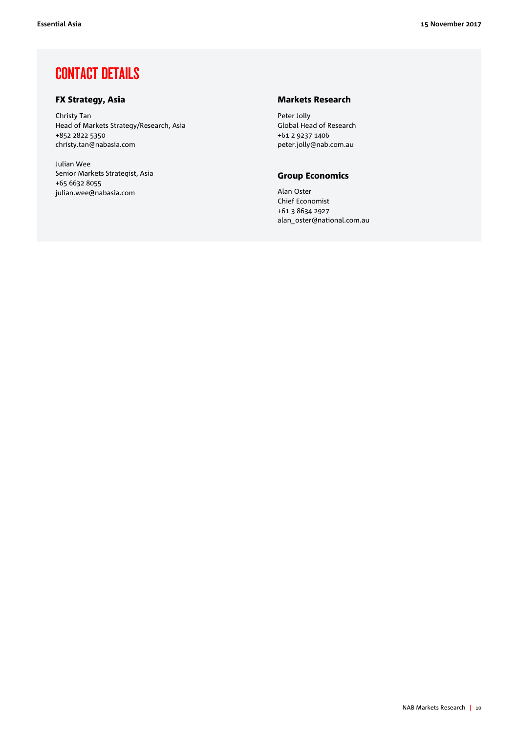### CONTACT DETAILS

### FX Strategy, Asia

Christy Tan Head of Markets Strategy/Research, Asia +852 2822 5350 christy.tan@nabasia.com

Julian Wee Senior Markets Strategist, Asia +65 6632 8055 julian.wee@nabasia.com

### Markets Research

Peter Jolly Global Head of Research +61 2 9237 1406 peter.jolly@nab.com.au

### Group Economics

Alan Oster Chief Economist +61 3 8634 2927 alan\_oster@national.com.au